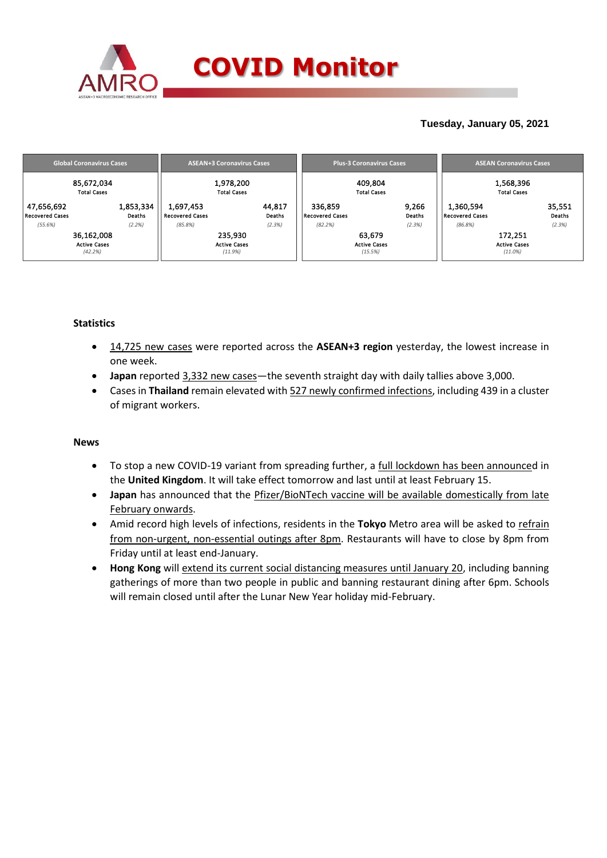

## **Tuesday, January 05, 2021**

| <b>Global Coronavirus Cases</b>      | <b>ASEAN+3 Coronavirus Cases</b> |                                     |         |                  | <b>Plus-3 Coronavirus Cases</b>   |         | <b>ASEAN Coronavirus Cases</b> |                                     |            |                  |
|--------------------------------------|----------------------------------|-------------------------------------|---------|------------------|-----------------------------------|---------|--------------------------------|-------------------------------------|------------|------------------|
| 85,672,034<br><b>Total Cases</b>     |                                  | 1,978,200<br><b>Total Cases</b>     |         |                  | 409,804<br><b>Total Cases</b>     |         |                                | 1,568,396<br><b>Total Cases</b>     |            |                  |
| 47,656,692<br><b>Recovered Cases</b> | 1,853,334<br>Deaths              | 1,697,453<br><b>Recovered Cases</b> |         | 44,817<br>Deaths | 336,859<br><b>Recovered Cases</b> |         | 9,266<br>Deaths                | 1,360,594<br><b>Recovered Cases</b> |            | 35,551<br>Deaths |
| (55.6%)                              | (2.2%)                           | (85.8%)                             |         | (2.3%)           | (82.2%)                           |         | (2.3%)                         | (86.8%)                             |            | (2.3%)           |
| 36,162,008                           |                                  |                                     | 235,930 |                  |                                   | 63,679  |                                |                                     | 172,251    |                  |
| <b>Active Cases</b>                  |                                  | <b>Active Cases</b>                 |         |                  | <b>Active Cases</b>               |         |                                | <b>Active Cases</b>                 |            |                  |
| (42.2%)                              |                                  |                                     | (11.9%) |                  |                                   | (15.5%) |                                |                                     | $(11.0\%)$ |                  |

### **Statistics**

- 14,725 new cases were reported across the **ASEAN+3 region** yesterday, the lowest increase in one week.
- **Japan** reported 3,332 new cases—the seventh straight day with daily tallies above 3,000.
- Cases in **Thailand** remain elevated with 527 newly confirmed infections, including 439 in a cluster of migrant workers.

### **News**

- To stop a new COVID-19 variant from spreading further, a full lockdown has been announced in the **United Kingdom**. It will take effect tomorrow and last until at least February 15.
- Japan has announced that the **Pfizer/BioNTech vaccine will be available domestically from late** February onwards.
- Amid record high levels of infections, residents in the **Tokyo** Metro area will be asked to refrain from non-urgent, non-essential outings after 8pm. Restaurants will have to close by 8pm from Friday until at least end-January.
- **Hong Kong** will extend its current social distancing measures until January 20, including banning gatherings of more than two people in public and banning restaurant dining after 6pm. Schools will remain closed until after the Lunar New Year holiday mid-February.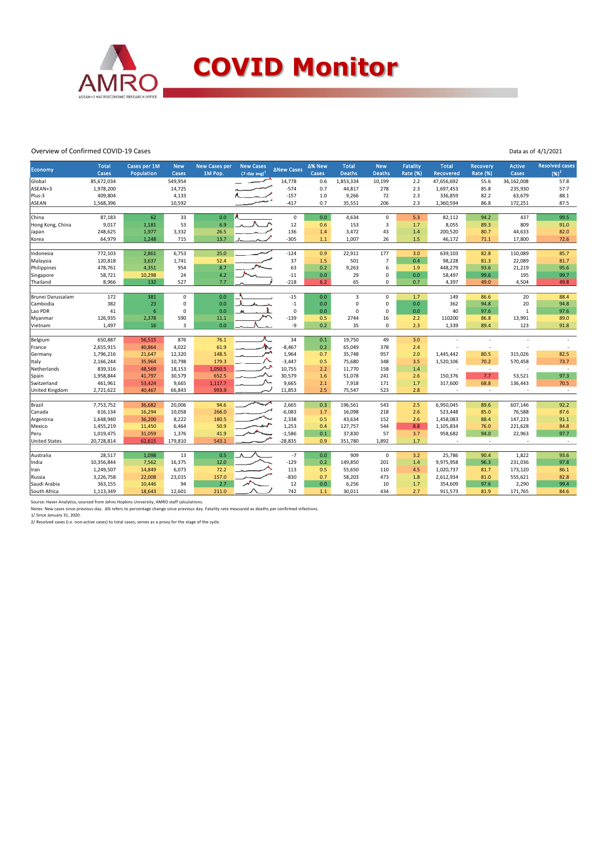

#### Overview of Confirmed COVID-19 Cases

| Overview of Confirmed COVID-19 Cases |                       |                            |                     |                                 |                                         |                   |                 |                        |                             |                                    | Data as of 4/1/2021 |                             |                        |                                   |
|--------------------------------------|-----------------------|----------------------------|---------------------|---------------------------------|-----------------------------------------|-------------------|-----------------|------------------------|-----------------------------|------------------------------------|---------------------|-----------------------------|------------------------|-----------------------------------|
| Economy                              | <b>Total</b><br>Cases | Cases per 1M<br>Population | <b>New</b><br>Cases | <b>New Cases per</b><br>1M Pop. | <b>New Cases</b><br>$(7$ -day avg $)^1$ | <b>ANew Cases</b> | Δ% New<br>Cases | <b>Total</b><br>Deaths | <b>New</b><br><b>Deaths</b> | <b>Fatality</b><br><b>Rate (%)</b> | Total<br>Recovered  | Recovery<br><b>Rate (%)</b> | <b>Active</b><br>Cases | <b>Resolved cases</b><br>$(96)^2$ |
| Global                               | 85,672,034            |                            | 549,954             |                                 |                                         | 14,778            | 0.6             | 1,853,334              | 10,199                      | 2.2                                | 47,656,692          | 55.6                        | 36,162,008             | 57.8                              |
| ASEAN+3                              | 1,978,200             |                            | 14,725              |                                 |                                         | $-574$            | 0.7             | 44,817                 | 278                         | 2.3                                | 1,697,453           | 85.8                        | 235,930                | 57.7                              |
| Plus-3                               | 409,804               |                            | 4,133               |                                 |                                         | $-157$            | 1.0             | 9,266                  | 72                          | 2.3                                | 336,859             | 82.2                        | 63,679                 | 88.1                              |
| ASEAN                                | 1,568,396             |                            | 10,592              |                                 |                                         | $-417$            | 0.7             | 35,551                 | 206                         | 2.3                                | 1,360,594           | 86.8                        | 172,251                | 87.5                              |
| China                                | 87,183                | 62                         | 33                  | 0.0                             |                                         | $\pmb{0}$         | 0.0             | 4,634                  | $\mathbf 0$                 | 5.3                                | 82,112              | 94.2                        | 437                    | 99.5                              |
| Hong Kong, China                     | 9,017                 | 1,181                      | 53                  | 6.9                             |                                         | 12                | 0.6             | 153                    | 3                           | 1.7                                | 8,055               | 89.3                        | 809                    | 91.0                              |
| Japan                                | 248,625               | 1,977                      | 3,332               | 26.5                            |                                         | 136               | 1.4             | 3,472                  | 43                          | 1.4                                | 200,520             | 80.7                        | 44,633                 | 82.0                              |
| Korea                                | 64,979                | 1,248                      | 715                 | 13.7                            |                                         | $-305$            | $1.1$           | 1,007                  | 26                          | 1.5                                | 46,172              | 71.1                        | 17,800                 | 72.6                              |
|                                      |                       |                            |                     |                                 |                                         |                   |                 |                        |                             |                                    |                     |                             |                        |                                   |
| Indonesia                            | 772,103               | 2,861                      | 6,753               | 25.0                            |                                         | $-124$            | 0.9             | 22,911                 | 177                         | 3.0                                | 639,103             | 82.8                        | 110,089                | 85.7                              |
| Malaysia                             | 120,818               | 3,637                      | 1,741               | 52.4                            |                                         | 37                | 1.5             | 501                    | $\overline{7}$              | 0.4                                | 98,228              | 81.3                        | 22,089                 | 81.7                              |
| Philippines                          | 478,761               | 4,351                      | 954                 | 8.7                             |                                         | 63                | 0.2             | 9,263                  | 6                           | 1.9                                | 448,279             | 93.6                        | 21,219                 | 95.6                              |
| Singapore                            | 58,721                | 10,298                     | 24                  | 4.2                             |                                         | $-11$             | 0.0             | 29                     | $\mathbf 0$                 | 0.0                                | 58,497              | 99.6                        | 195                    | 99.7                              |
| Thailand                             | 8,966                 | 132                        | 527                 | 7.7                             |                                         | $-218$            | 6.2             | 65                     | 0                           | 0.7                                | 4,397               | 49.0                        | 4,504                  | 49.8                              |
| Brunei Darussalam                    | 172                   | 381                        | $\mathbf 0$         | 0.0                             |                                         | $-15$             | 0.0             | $\overline{3}$         | $\mathbf 0$                 | 1.7                                | 149                 | 86.6                        | 20                     | 88.4                              |
| Cambodia                             | 382                   | 23                         | 0                   | 0.0                             | ىد                                      | $-1$              | 0.0             | $\pmb{0}$              | $\mathsf 0$                 | 0.0                                | 362                 | 94.8                        | 20                     | 94.8                              |
| Lao PDR                              | 41                    | 6                          | $\mathsf 0$         | 0.0                             |                                         | $\mathsf 0$       | 0.0             | $\mathbf 0$            | $\mathbf 0$                 | 0.0                                | 40                  | 97.6                        | 1                      | 97.6                              |
| Myanmar                              | 126,935               | 2,378                      | 590                 | 11.1                            |                                         | $-139$            | 0.5             | 2744                   | 16                          | 2.2                                | 110200              | 86.8                        | 13,991                 | 89.0                              |
| Vietnam                              | 1,497                 | 16                         | 3                   | 0.0                             |                                         | -9                | 0.2             | 35                     | $\mathbf 0$                 | 2.3                                | 1,339               | 89.4                        | 123                    | 91.8                              |
|                                      |                       |                            |                     |                                 |                                         |                   |                 |                        |                             |                                    |                     |                             |                        |                                   |
| Belgium                              | 650,887               | 56,515                     | 876                 | 76.1                            |                                         | 34                | 0.1             | 19,750                 | 49                          | 3.0                                |                     | ÷                           |                        |                                   |
| France                               | 2,655,915             | 40,864                     | 4,022               | 61.9                            | Λ.                                      | $-8,467$          | 0.2             | 65,049                 | 378                         | 2.4                                |                     | ÷                           |                        |                                   |
| Germany                              | 1,796,216             | 21,647                     | 12,320              | 148.5                           |                                         | 1,964             | 0.7             | 35,748                 | 957                         | 2.0                                | 1,445,442           | 80.5                        | 315,026                | 82.5                              |
| Italy                                | 2,166,244             | 35,964                     | 10,798              | 179.3                           |                                         | $-3,447$          | 0.5             | 75,680                 | 348                         | 3.5                                | 1,520,106           | 70.2                        | 570,458                | 73.7                              |
| Netherlands                          | 839,316               | 48,569                     | 18,153              | 1,050.5                         |                                         | 10,755            | 2.2             | 11,770                 | 158                         | 1.4                                |                     | $\sim$                      |                        | $\sim$                            |
| Spain<br>Switzerland                 | 1,958,844             | 41,797                     | 30,579              | 652.5<br>1,117.7                |                                         | 30,579            | 1.6<br>2.1      | 51,078                 | 241<br>171                  | 2.6<br>1.7                         | 150,376             | 7.7<br>68.8                 | 53,521                 | 97.3<br>70.5                      |
| United Kingdom                       | 461,961<br>2,721,622  | 53,424<br>40,467           | 9,665<br>66,843     | 993.9                           |                                         | 9,665<br>11,853   | 2.5             | 7,918<br>75,547        | 523                         | 2.8                                | 317,600             | ٠                           | 136,443                | $\sim$                            |
|                                      |                       |                            |                     |                                 |                                         |                   |                 |                        |                             |                                    |                     |                             |                        |                                   |
| Brazil                               | 7,753,752             | 36,682                     | 20,006              | 94.6                            |                                         | 2,665             | 0.3             | 196,561                | 543                         | 2.5                                | 6,950,045           | 89.6                        | 607,146                | 92.2                              |
| Canada                               | 616,134               | 16,294                     | 10,058              | 266.0                           |                                         | $-6,083$          | 1.7             | 16,098                 | 218                         | 2.6                                | 523,448             | 85.0                        | 76,588                 | 87.6                              |
| Argentina                            | 1,648,940             | 36,200                     | 8,222               | 180.5                           |                                         | 2,338             | 0.5             | 43,634                 | 152                         | 2.6                                | 1,458,083           | 88.4                        | 147,223                | 91.1                              |
| Mexico                               | 1,455,219             | 11,450                     | 6,464               | 50.9                            |                                         | 1,253             | 0.4             | 127,757                | 544                         | 8.8                                | 1,105,834           | 76.0                        | 221,628                | 84.8                              |
| Peru                                 | 1,019,475             | 31,059                     | 1,376               | 41.9                            |                                         | $-1,586$          | 0.1             | 37,830                 | 57                          | 3.7                                | 958,682             | 94.0                        | 22,963                 | 97.7                              |
| <b>United States</b>                 | 20,728,814            | 62,615                     | 179,810             | 543.1                           |                                         | $-28,835$         | 0.9             | 351,780                | 1,892                       | 1.7                                | ÷                   | $\sim$                      | ÷,                     | $\sim$                            |
| Australia                            | 28,517                | 1,098                      | 13                  | 0.5                             |                                         | $-7$              | 0.0             | 909                    | $\mathbf 0$                 | 3.2                                | 25,786              |                             | 1,822                  | 93.6                              |
| India                                | 10,356,844            | 7,562                      | 16,375              | 12.0                            |                                         | $-129$            | 0.2             | 149,850                | 201                         | 1.4                                | 9,975,958           | 90.4<br>96.3                | 231,036                | 97.8                              |
| Iran                                 | 1,249,507             | 14,849                     | 6,073               | 72.2                            |                                         | 113               | 0.5             | 55,650                 | 110                         | 4.5                                | 1,020,737           | 81.7                        | 173,120                | 86.1                              |
| Russia                               | 3,226,758             | 22,008                     | 23,015              | 157.0                           |                                         | $-830$            | 0.7             | 58,203                 | 473                         | 1.8                                | 2,612,934           | 81.0                        | 555,621                | 82.8                              |
| Saudi Arabia                         | 363,155               | 10,446                     | 94                  | 2.7                             |                                         | 12                | 0.0             | 6,256                  | 10                          | 1.7                                | 354,609             | 97.6                        | 2,290                  | 99.4                              |
| South Africa                         | 1,113,349             | 18,643                     | 12,601              | 211.0                           |                                         | 742               | $1.1$           | 30,011                 | 434                         | 2.7                                | 911,573             | 81.9                        | 171,765                | 84.6                              |
|                                      |                       |                            |                     |                                 |                                         |                   |                 |                        |                             |                                    |                     |                             |                        |                                   |

Source: Haver Analytics, sourced from Johns Hopkins University; AMRO staff calculations.<br>Notes: New cases since previous day. Δ% refers to percentage change since previous day. Fatality rate measured as deaths per confirm